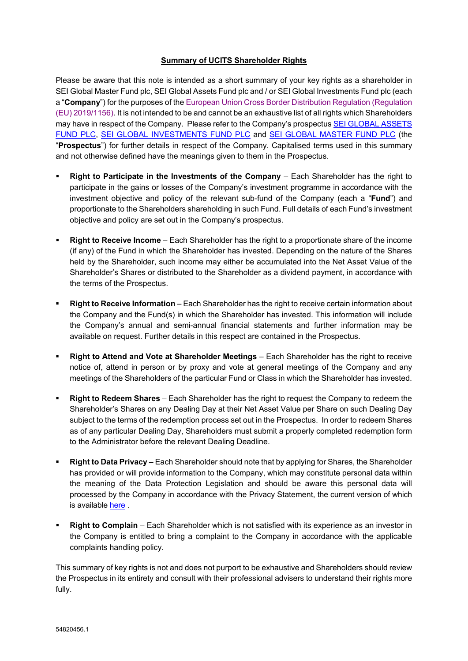## **Summary of UCITS Shareholder Rights**

Please be aware that this note is intended as a short summary of your key rights as a shareholder in SEI Global Master Fund plc, SEI Global Assets Fund plc and / or SEI Global Investments Fund plc (each a "**Company**") for the purposes of th[e European Union Cross Border Distribution Regulation \(Regulation](https://eur-lex.europa.eu/legal-content/EN/TXT/PDF/?uri=CELEX:32019R1156&from=EN)  [\(EU\) 2019/1156\).](https://eur-lex.europa.eu/legal-content/EN/TXT/PDF/?uri=CELEX:32019R1156&from=EN) It is not intended to be and cannot be an exhaustive list of all rights which Shareholders may have in respect of the Company. Please refer to the Company's prospectu[s SEI GLOBAL ASSETS](https://seic.com/sites/default/files/inline-files/SEI_Global_Assets_Fund%20plc_Prospectus_0.pdf)  [FUND PLC,](https://seic.com/sites/default/files/inline-files/SEI_Global_Assets_Fund%20plc_Prospectus_0.pdf) [SEI GLOBAL INVESTMENTS FUND PLC](https://seic.com/sites/default/files/inline-files/SEI_Global_Investments_Fund_plc_Prospectus_0.pdf) and [SEI GLOBAL MASTER FUND PLC](https://seic.com/sites/default/files/inline-files/SEI_Global_Master_Fund_plc_Prospectus_0.pdf) (the "**Prospectus**") for further details in respect of the Company. Capitalised terms used in this summary and not otherwise defined have the meanings given to them in the Prospectus.

- **Right to Participate in the Investments of the Company** Each Shareholder has the right to participate in the gains or losses of the Company's investment programme in accordance with the investment objective and policy of the relevant sub-fund of the Company (each a "**Fund**") and proportionate to the Shareholders shareholding in such Fund. Full details of each Fund's investment objective and policy are set out in the Company's prospectus.
- **Right to Receive Income** Each Shareholder has the right to a proportionate share of the income (if any) of the Fund in which the Shareholder has invested. Depending on the nature of the Shares held by the Shareholder, such income may either be accumulated into the Net Asset Value of the Shareholder's Shares or distributed to the Shareholder as a dividend payment, in accordance with the terms of the Prospectus.
- **Right to Receive Information** Each Shareholder has the right to receive certain information about the Company and the Fund(s) in which the Shareholder has invested. This information will include the Company's annual and semi-annual financial statements and further information may be available on request. Further details in this respect are contained in the Prospectus.
- **Right to Attend and Vote at Shareholder Meetings** Each Shareholder has the right to receive notice of, attend in person or by proxy and vote at general meetings of the Company and any meetings of the Shareholders of the particular Fund or Class in which the Shareholder has invested.
- **Right to Redeem Shares** Each Shareholder has the right to request the Company to redeem the Shareholder's Shares on any Dealing Day at their Net Asset Value per Share on such Dealing Day subject to the terms of the redemption process set out in the Prospectus. In order to redeem Shares as of any particular Dealing Day, Shareholders must submit a properly completed redemption form to the Administrator before the relevant Dealing Deadline.
- **Right to Data Privacy**  Each Shareholder should note that by applying for Shares, the Shareholder has provided or will provide information to the Company, which may constitute personal data within the meaning of the Data Protection Legislation and should be aware this personal data will processed by the Company in accordance with the Privacy Statement, the current version of which is available [here](https://seic.com/sites/default/files/inline-files/SEI-Privacy-Statement-SEI-Funds.pdf) .
- **Right to Complain**  Each Shareholder which is not satisfied with its experience as an investor in the Company is entitled to bring a complaint to the Company in accordance with the applicable complaints handling policy.

This summary of key rights is not and does not purport to be exhaustive and Shareholders should review the Prospectus in its entirety and consult with their professional advisers to understand their rights more fully.